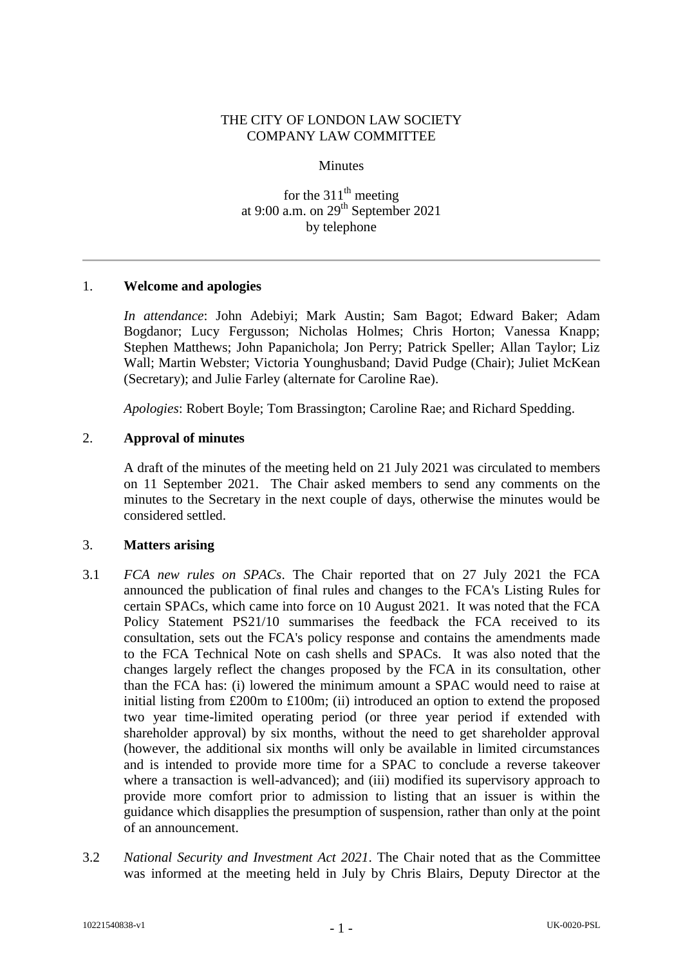## THE CITY OF LONDON LAW SOCIETY COMPANY LAW COMMITTEE

**Minutes** 

for the  $311<sup>th</sup>$  meeting at 9:00 a.m. on  $29<sup>th</sup>$  September 2021 by telephone

## 1. **Welcome and apologies**

*In attendance*: John Adebiyi; Mark Austin; Sam Bagot; Edward Baker; Adam Bogdanor; Lucy Fergusson; Nicholas Holmes; Chris Horton; Vanessa Knapp; Stephen Matthews; John Papanichola; Jon Perry; Patrick Speller; Allan Taylor; Liz Wall; Martin Webster; Victoria Younghusband; David Pudge (Chair); Juliet McKean (Secretary); and Julie Farley (alternate for Caroline Rae).

*Apologies*: Robert Boyle; Tom Brassington; Caroline Rae; and Richard Spedding.

## 2. **Approval of minutes**

A draft of the minutes of the meeting held on 21 July 2021 was circulated to members on 11 September 2021. The Chair asked members to send any comments on the minutes to the Secretary in the next couple of days, otherwise the minutes would be considered settled.

## 3. **Matters arising**

- 3.1 *FCA new rules on SPACs*. The Chair reported that on 27 July 2021 the FCA announced the publication of final rules and changes to the FCA's Listing Rules for certain SPACs, which came into force on 10 August 2021. It was noted that the FCA Policy Statement PS21/10 summarises the feedback the FCA received to its consultation, sets out the FCA's policy response and contains the amendments made to the FCA Technical Note on cash shells and SPACs. It was also noted that the changes largely reflect the changes proposed by the FCA in its consultation, other than the FCA has: (i) lowered the minimum amount a SPAC would need to raise at initial listing from £200m to £100m; (ii) introduced an option to extend the proposed two year time-limited operating period (or three year period if extended with shareholder approval) by six months, without the need to get shareholder approval (however, the additional six months will only be available in limited circumstances and is intended to provide more time for a SPAC to conclude a reverse takeover where a transaction is well-advanced); and (iii) modified its supervisory approach to provide more comfort prior to admission to listing that an issuer is within the guidance which disapplies the presumption of suspension, rather than only at the point of an announcement.
- 3.2 *National Security and Investment Act 2021*. The Chair noted that as the Committee was informed at the meeting held in July by Chris Blairs, Deputy Director at the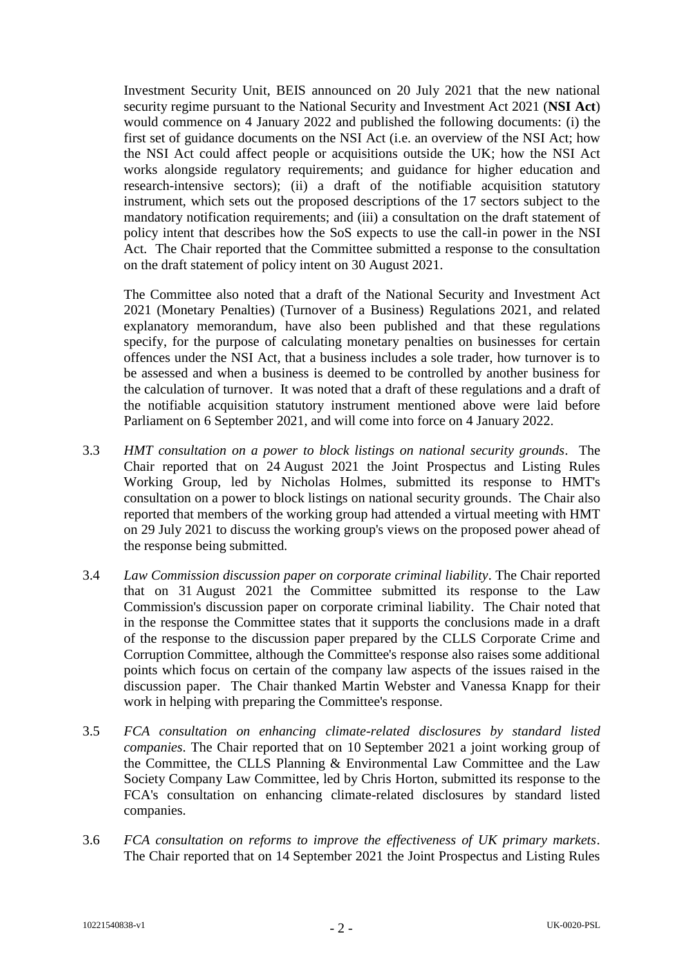Investment Security Unit, BEIS announced on 20 July 2021 that the new national security regime pursuant to the National Security and Investment Act 2021 (**NSI Act**) would commence on 4 January 2022 and published the following documents: (i) the first set of guidance documents on the NSI Act (i.e. an overview of the NSI Act; how the NSI Act could affect people or acquisitions outside the UK; how the NSI Act works alongside regulatory requirements; and guidance for higher education and research-intensive sectors); (ii) a draft of the notifiable acquisition statutory instrument, which sets out the proposed descriptions of the 17 sectors subject to the mandatory notification requirements; and (iii) a consultation on the draft statement of policy intent that describes how the SoS expects to use the call-in power in the NSI Act. The Chair reported that the Committee submitted a response to the consultation on the draft statement of policy intent on 30 August 2021.

The Committee also noted that a draft of the National Security and Investment Act 2021 (Monetary Penalties) (Turnover of a Business) Regulations 2021, and related explanatory memorandum, have also been published and that these regulations specify, for the purpose of calculating monetary penalties on businesses for certain offences under the NSI Act, that a business includes a sole trader, how turnover is to be assessed and when a business is deemed to be controlled by another business for the calculation of turnover. It was noted that a draft of these regulations and a draft of the notifiable acquisition statutory instrument mentioned above were laid before Parliament on 6 September 2021, and will come into force on 4 January 2022.

- 3.3 *HMT consultation on a power to block listings on national security grounds*. The Chair reported that on 24 August 2021 the Joint Prospectus and Listing Rules Working Group, led by Nicholas Holmes, submitted its response to HMT's consultation on a power to block listings on national security grounds. The Chair also reported that members of the working group had attended a virtual meeting with HMT on 29 July 2021 to discuss the working group's views on the proposed power ahead of the response being submitted.
- 3.4 *Law Commission discussion paper on corporate criminal liability*. The Chair reported that on 31 August 2021 the Committee submitted its response to the Law Commission's discussion paper on corporate criminal liability. The Chair noted that in the response the Committee states that it supports the conclusions made in a draft of the response to the discussion paper prepared by the CLLS Corporate Crime and Corruption Committee, although the Committee's response also raises some additional points which focus on certain of the company law aspects of the issues raised in the discussion paper. The Chair thanked Martin Webster and Vanessa Knapp for their work in helping with preparing the Committee's response.
- 3.5 *FCA consultation on enhancing climate-related disclosures by standard listed companies*. The Chair reported that on 10 September 2021 a joint working group of the Committee, the CLLS Planning & Environmental Law Committee and the Law Society Company Law Committee, led by Chris Horton, submitted its response to the FCA's consultation on enhancing climate-related disclosures by standard listed companies.
- 3.6 *FCA consultation on reforms to improve the effectiveness of UK primary markets*. The Chair reported that on 14 September 2021 the Joint Prospectus and Listing Rules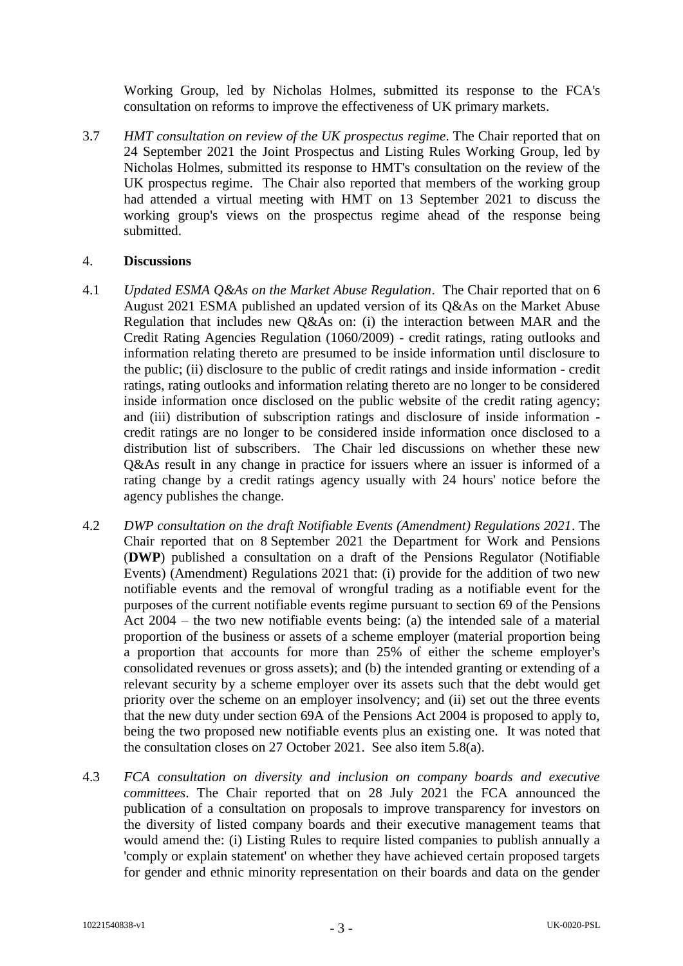Working Group, led by Nicholas Holmes, submitted its response to the FCA's consultation on reforms to improve the effectiveness of UK primary markets.

3.7 *HMT consultation on review of the UK prospectus regime*. The Chair reported that on 24 September 2021 the Joint Prospectus and Listing Rules Working Group, led by Nicholas Holmes, submitted its response to HMT's consultation on the review of the UK prospectus regime. The Chair also reported that members of the working group had attended a virtual meeting with HMT on 13 September 2021 to discuss the working group's views on the prospectus regime ahead of the response being submitted.

## 4. **Discussions**

- 4.1 *Updated ESMA Q&As on the Market Abuse Regulation*. The Chair reported that on 6 August 2021 ESMA published an updated version of its Q&As on the Market Abuse Regulation that includes new Q&As on: (i) the interaction between MAR and the Credit Rating Agencies Regulation (1060/2009) - credit ratings, rating outlooks and information relating thereto are presumed to be inside information until disclosure to the public; (ii) disclosure to the public of credit ratings and inside information - credit ratings, rating outlooks and information relating thereto are no longer to be considered inside information once disclosed on the public website of the credit rating agency; and (iii) distribution of subscription ratings and disclosure of inside information credit ratings are no longer to be considered inside information once disclosed to a distribution list of subscribers. The Chair led discussions on whether these new Q&As result in any change in practice for issuers where an issuer is informed of a rating change by a credit ratings agency usually with 24 hours' notice before the agency publishes the change.
- 4.2 *DWP consultation on the draft Notifiable Events (Amendment) Regulations 2021*. The Chair reported that on 8 September 2021 the Department for Work and Pensions (**DWP**) published a consultation on a draft of the Pensions Regulator (Notifiable Events) (Amendment) Regulations 2021 that: (i) provide for the addition of two new notifiable events and the removal of wrongful trading as a notifiable event for the purposes of the current notifiable events regime pursuant to section 69 of the Pensions Act 2004 – the two new notifiable events being: (a) the intended sale of a material proportion of the business or assets of a scheme employer (material proportion being a proportion that accounts for more than 25% of either the scheme employer's consolidated revenues or gross assets); and (b) the intended granting or extending of a relevant security by a scheme employer over its assets such that the debt would get priority over the scheme on an employer insolvency; and (ii) set out the three events that the new duty under section 69A of the Pensions Act 2004 is proposed to apply to, being the two proposed new notifiable events plus an existing one. It was noted that the consultation closes on 27 October 2021. See also item 5.8(a).
- 4.3 *FCA consultation on diversity and inclusion on company boards and executive committees*. The Chair reported that on 28 July 2021 the FCA announced the publication of a consultation on proposals to improve transparency for investors on the diversity of listed company boards and their executive management teams that would amend the: (i) Listing Rules to require listed companies to publish annually a 'comply or explain statement' on whether they have achieved certain proposed targets for gender and ethnic minority representation on their boards and data on the gender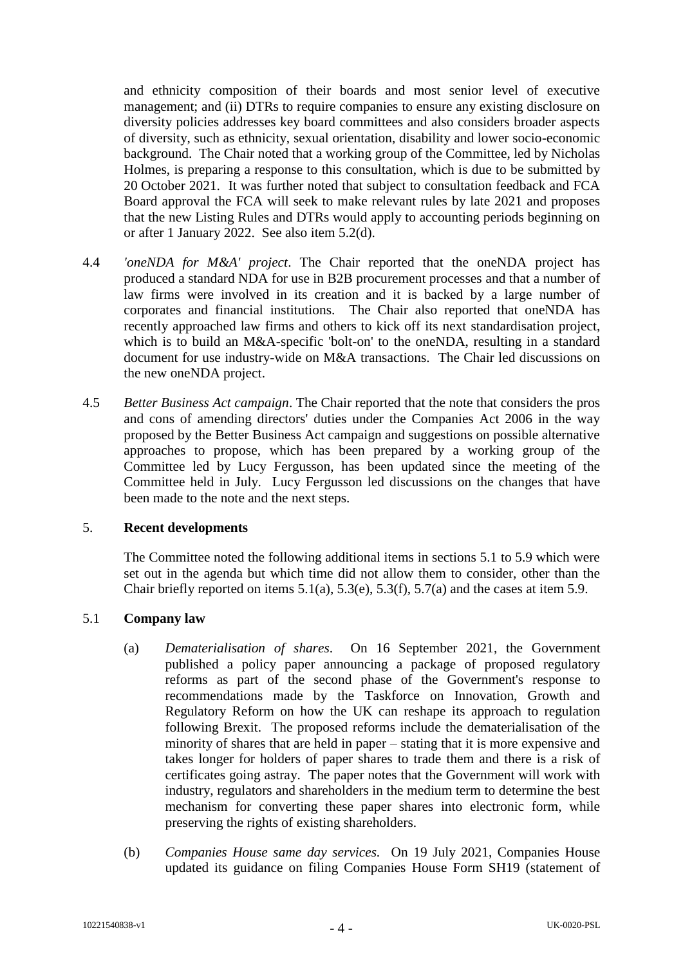and ethnicity composition of their boards and most senior level of executive management; and (ii) DTRs to require companies to ensure any existing disclosure on diversity policies addresses key board committees and also considers broader aspects of diversity, such as ethnicity, sexual orientation, disability and lower socio-economic background. The Chair noted that a working group of the Committee, led by Nicholas Holmes, is preparing a response to this consultation, which is due to be submitted by 20 October 2021. It was further noted that subject to consultation feedback and FCA Board approval the FCA will seek to make relevant rules by late 2021 and proposes that the new Listing Rules and DTRs would apply to accounting periods beginning on or after 1 January 2022. See also item 5.2(d).

- 4.4 *'oneNDA for M&A' project*. The Chair reported that the oneNDA project has produced a standard NDA for use in B2B procurement processes and that a number of law firms were involved in its creation and it is backed by a large number of corporates and financial institutions. The Chair also reported that oneNDA has recently approached law firms and others to kick off its next standardisation project, which is to build an M&A-specific 'bolt-on' to the oneNDA, resulting in a standard document for use industry-wide on M&A transactions. The Chair led discussions on the new oneNDA project.
- 4.5 *Better Business Act campaign*. The Chair reported that the note that considers the pros and cons of amending directors' duties under the Companies Act 2006 in the way proposed by the Better Business Act campaign and suggestions on possible alternative approaches to propose, which has been prepared by a working group of the Committee led by Lucy Fergusson, has been updated since the meeting of the Committee held in July. Lucy Fergusson led discussions on the changes that have been made to the note and the next steps.

#### 5. **Recent developments**

The Committee noted the following additional items in sections 5.1 to 5.9 which were set out in the agenda but which time did not allow them to consider, other than the Chair briefly reported on items  $5.1(a)$ ,  $5.3(e)$ ,  $5.3(f)$ ,  $5.7(a)$  and the cases at item 5.9.

## 5.1 **Company law**

- (a) *Dematerialisation of shares*. On 16 September 2021, the Government published a policy paper announcing a package of proposed regulatory reforms as part of the second phase of the Government's response to recommendations made by the Taskforce on Innovation, Growth and Regulatory Reform on how the UK can reshape its approach to regulation following Brexit. The proposed reforms include the dematerialisation of the minority of shares that are held in paper – stating that it is more expensive and takes longer for holders of paper shares to trade them and there is a risk of certificates going astray. The paper notes that the Government will work with industry, regulators and shareholders in the medium term to determine the best mechanism for converting these paper shares into electronic form, while preserving the rights of existing shareholders.
- (b) *Companies House same day services.* On 19 July 2021, Companies House updated its guidance on filing Companies House Form SH19 (statement of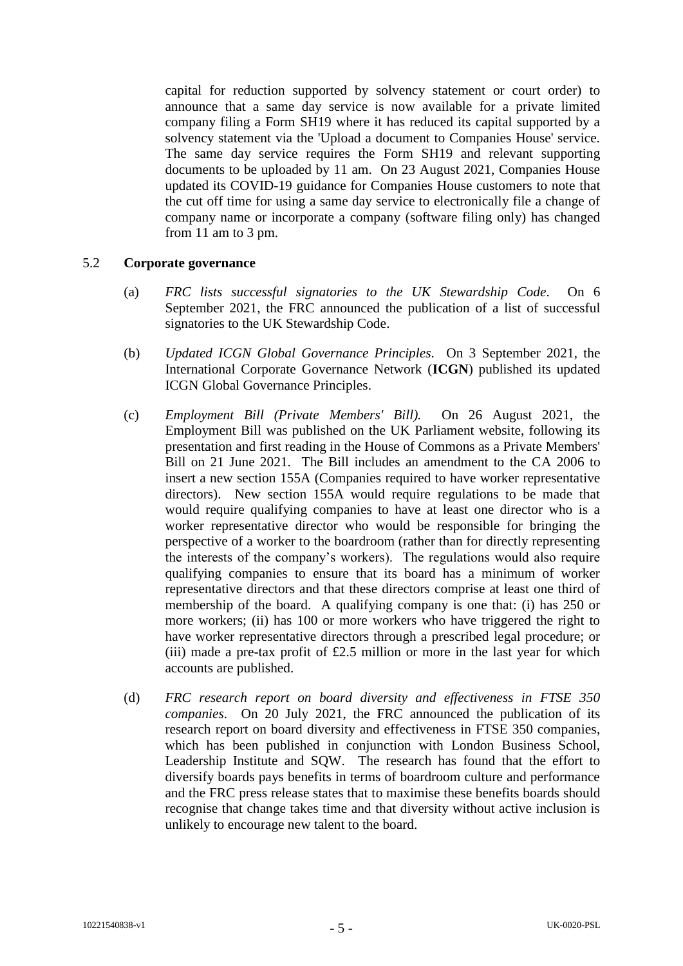capital for reduction supported by solvency statement or court order) to announce that a same day service is now available for a private limited company filing a Form SH19 where it has reduced its capital supported by a solvency statement via the 'Upload a document to Companies House' service. The same day service requires the Form SH19 and relevant supporting documents to be uploaded by 11 am. On 23 August 2021, Companies House updated its COVID-19 guidance for Companies House customers to note that the cut off time for using a same day service to electronically file a change of company name or incorporate a company (software filing only) has changed from 11 am to 3 pm.

## 5.2 **Corporate governance**

- (a) *FRC lists successful signatories to the UK Stewardship Code*. On 6 September 2021, the FRC announced the publication of a list of successful signatories to the UK Stewardship Code.
- (b) *Updated ICGN Global Governance Principles*. On 3 September 2021, the International Corporate Governance Network (**ICGN**) published its updated ICGN Global Governance Principles.
- (c) *Employment Bill (Private Members' Bill).* On 26 August 2021, the Employment Bill was published on the UK Parliament website, following its presentation and first reading in the House of Commons as a Private Members' Bill on 21 June 2021. The Bill includes an amendment to the CA 2006 to insert a new section 155A (Companies required to have worker representative directors). New section 155A would require regulations to be made that would require qualifying companies to have at least one director who is a worker representative director who would be responsible for bringing the perspective of a worker to the boardroom (rather than for directly representing the interests of the company's workers). The regulations would also require qualifying companies to ensure that its board has a minimum of worker representative directors and that these directors comprise at least one third of membership of the board. A qualifying company is one that: (i) has 250 or more workers; (ii) has 100 or more workers who have triggered the right to have worker representative directors through a prescribed legal procedure; or (iii) made a pre-tax profit of £2.5 million or more in the last year for which accounts are published.
- (d) *FRC research report on board diversity and effectiveness in FTSE 350 companies*. On 20 July 2021, the FRC announced the publication of its research report on board diversity and effectiveness in FTSE 350 companies, which has been published in conjunction with London Business School, Leadership Institute and SQW. The research has found that the effort to diversify boards pays benefits in terms of boardroom culture and performance and the FRC press release states that to maximise these benefits boards should recognise that change takes time and that diversity without active inclusion is unlikely to encourage new talent to the board.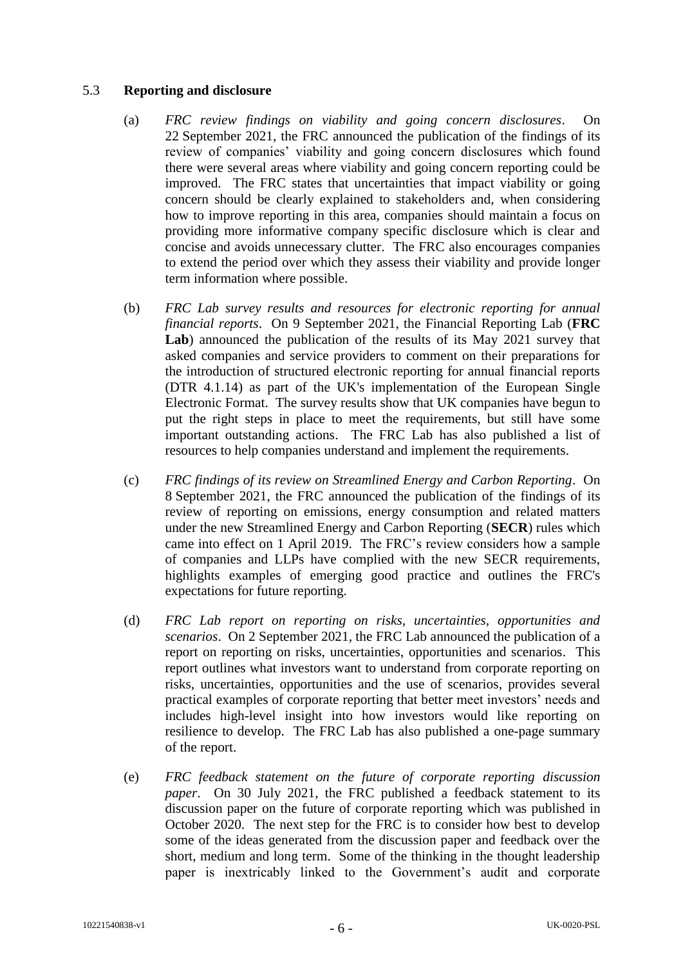## 5.3 **Reporting and disclosure**

- (a) *FRC review findings on viability and going concern disclosures*. On 22 September 2021, the FRC announced the publication of the findings of its review of companies' viability and going concern disclosures which found there were several areas where viability and going concern reporting could be improved. The FRC states that uncertainties that impact viability or going concern should be clearly explained to stakeholders and, when considering how to improve reporting in this area, companies should maintain a focus on providing more informative company specific disclosure which is clear and concise and avoids unnecessary clutter. The FRC also encourages companies to extend the period over which they assess their viability and provide longer term information where possible.
- (b) *FRC Lab survey results and resources for electronic reporting for annual financial reports*. On 9 September 2021, the Financial Reporting Lab (**FRC Lab**) announced the publication of the results of its May 2021 survey that asked companies and service providers to comment on their preparations for the introduction of structured electronic reporting for annual financial reports (DTR 4.1.14) as part of the UK's implementation of the European Single Electronic Format. The survey results show that UK companies have begun to put the right steps in place to meet the requirements, but still have some important outstanding actions. The FRC Lab has also published a list of resources to help companies understand and implement the requirements.
- (c) *FRC findings of its review on Streamlined Energy and Carbon Reporting*. On 8 September 2021, the FRC announced the publication of the findings of its review of reporting on emissions, energy consumption and related matters under the new Streamlined Energy and Carbon Reporting (**SECR**) rules which came into effect on 1 April 2019. The FRC's review considers how a sample of companies and LLPs have complied with the new SECR requirements, highlights examples of emerging good practice and outlines the FRC's expectations for future reporting.
- (d) *FRC Lab report on reporting on risks, uncertainties, opportunities and scenarios*. On 2 September 2021, the FRC Lab announced the publication of a report on reporting on risks, uncertainties, opportunities and scenarios. This report outlines what investors want to understand from corporate reporting on risks, uncertainties, opportunities and the use of scenarios, provides several practical examples of corporate reporting that better meet investors' needs and includes high-level insight into how investors would like reporting on resilience to develop. The FRC Lab has also published a one-page summary of the report.
- (e) *FRC feedback statement on the future of corporate reporting discussion paper*. On 30 July 2021, the FRC published a feedback statement to its discussion paper on the future of corporate reporting which was published in October 2020. The next step for the FRC is to consider how best to develop some of the ideas generated from the discussion paper and feedback over the short, medium and long term. Some of the thinking in the thought leadership paper is inextricably linked to the Government's audit and corporate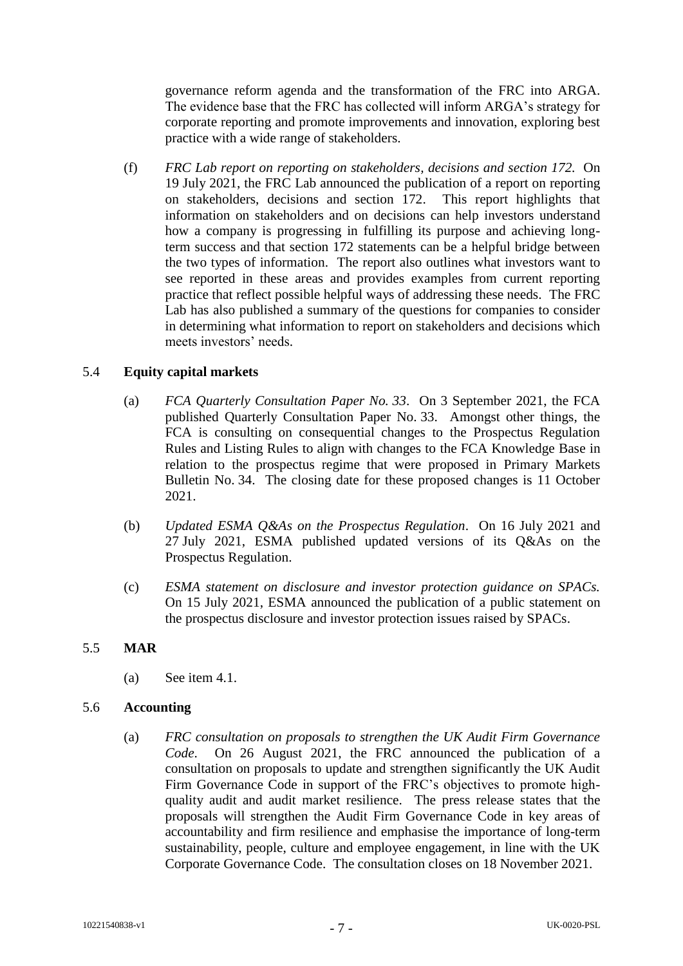governance reform agenda and the transformation of the FRC into ARGA. The evidence base that the FRC has collected will inform ARGA's strategy for corporate reporting and promote improvements and innovation, exploring best practice with a wide range of stakeholders.

(f) *FRC Lab report on reporting on stakeholders, decisions and section 172.* On 19 July 2021, the FRC Lab announced the publication of a report on reporting on stakeholders, decisions and section 172. This report highlights that information on stakeholders and on decisions can help investors understand how a company is progressing in fulfilling its purpose and achieving longterm success and that section 172 statements can be a helpful bridge between the two types of information. The report also outlines what investors want to see reported in these areas and provides examples from current reporting practice that reflect possible helpful ways of addressing these needs. The FRC Lab has also published a summary of the questions for companies to consider in determining what information to report on stakeholders and decisions which meets investors' needs.

# 5.4 **Equity capital markets**

- (a) *FCA Quarterly Consultation Paper No. 33*. On 3 September 2021, the FCA published Quarterly Consultation Paper No. 33. Amongst other things, the FCA is consulting on consequential changes to the Prospectus Regulation Rules and Listing Rules to align with changes to the FCA Knowledge Base in relation to the prospectus regime that were proposed in Primary Markets Bulletin No. 34. The closing date for these proposed changes is 11 October 2021.
- (b) *Updated ESMA Q&As on the Prospectus Regulation*. On 16 July 2021 and 27 July 2021, ESMA published updated versions of its Q&As on the Prospectus Regulation.
- (c) *ESMA statement on disclosure and investor protection guidance on SPACs.* On 15 July 2021, ESMA announced the publication of a public statement on the prospectus disclosure and investor protection issues raised by SPACs.

## 5.5 **MAR**

(a) See item 4.1.

## 5.6 **Accounting**

(a) *FRC consultation on proposals to strengthen the UK Audit Firm Governance Code*. On 26 August 2021, the FRC announced the publication of a consultation on proposals to update and strengthen significantly the UK Audit Firm Governance Code in support of the FRC's objectives to promote highquality audit and audit market resilience. The press release states that the proposals will strengthen the Audit Firm Governance Code in key areas of accountability and firm resilience and emphasise the importance of long-term sustainability, people, culture and employee engagement, in line with the UK Corporate Governance Code. The consultation closes on 18 November 2021.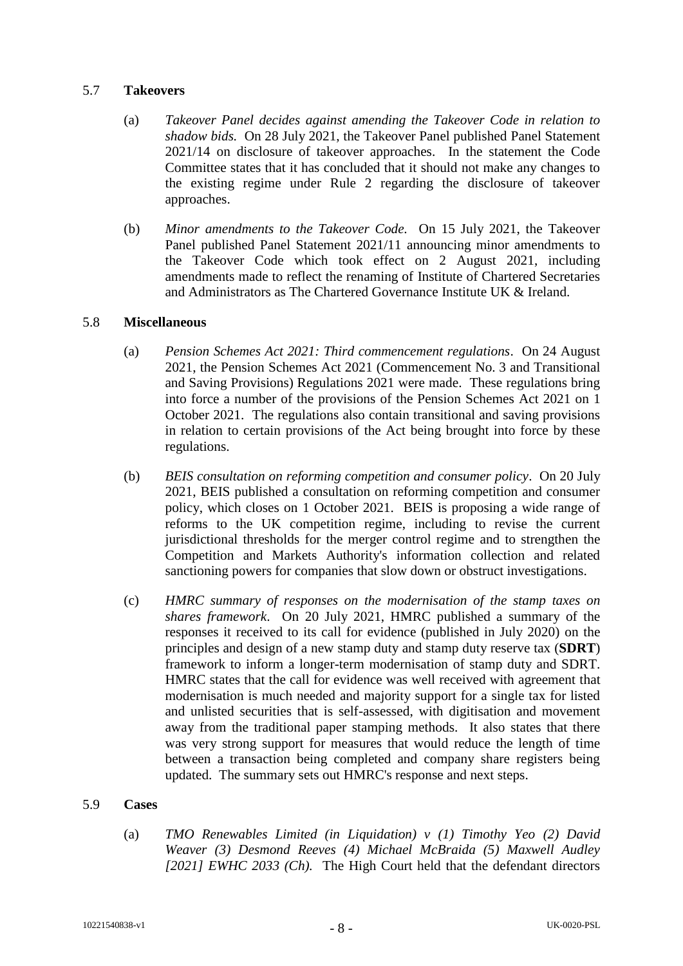## 5.7 **Takeovers**

- (a) *Takeover Panel decides against amending the Takeover Code in relation to shadow bids.* On 28 July 2021, the Takeover Panel published Panel Statement 2021/14 on disclosure of takeover approaches. In the statement the Code Committee states that it has concluded that it should not make any changes to the existing regime under Rule 2 regarding the disclosure of takeover approaches.
- (b) *Minor amendments to the Takeover Code.* On 15 July 2021, the Takeover Panel published Panel Statement 2021/11 announcing minor amendments to the Takeover Code which took effect on 2 August 2021, including amendments made to reflect the renaming of Institute of Chartered Secretaries and Administrators as The Chartered Governance Institute UK & Ireland.

## 5.8 **Miscellaneous**

- (a) *Pension Schemes Act 2021: Third commencement regulations*. On 24 August 2021, the Pension Schemes Act 2021 (Commencement No. 3 and Transitional and Saving Provisions) Regulations 2021 were made. These regulations bring into force a number of the provisions of the Pension Schemes Act 2021 on 1 October 2021. The regulations also contain transitional and saving provisions in relation to certain provisions of the Act being brought into force by these regulations.
- (b) *BEIS consultation on reforming competition and consumer policy*. On 20 July 2021, BEIS published a consultation on reforming competition and consumer policy, which closes on 1 October 2021. BEIS is proposing a wide range of reforms to the UK competition regime, including to revise the current jurisdictional thresholds for the merger control regime and to strengthen the Competition and Markets Authority's information collection and related sanctioning powers for companies that slow down or obstruct investigations.
- (c) *HMRC summary of responses on the modernisation of the stamp taxes on shares framework*. On 20 July 2021, HMRC published a summary of the responses it received to its call for evidence (published in July 2020) on the principles and design of a new stamp duty and stamp duty reserve tax (**SDRT**) framework to inform a longer-term modernisation of stamp duty and SDRT. HMRC states that the call for evidence was well received with agreement that modernisation is much needed and majority support for a single tax for listed and unlisted securities that is self-assessed, with digitisation and movement away from the traditional paper stamping methods. It also states that there was very strong support for measures that would reduce the length of time between a transaction being completed and company share registers being updated. The summary sets out HMRC's response and next steps.

## 5.9 **Cases**

(a) *TMO Renewables Limited (in Liquidation) v (1) Timothy Yeo (2) David Weaver (3) Desmond Reeves (4) Michael McBraida (5) Maxwell Audley [2021] EWHC 2033 (Ch).* The High Court held that the defendant directors